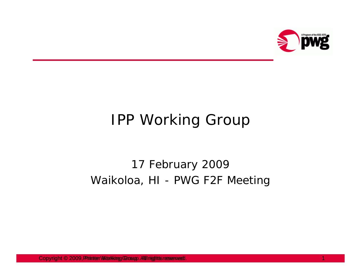

## IPP Working Group

## 17 February 2009 Waikoloa, HI - PWG F2F Meeting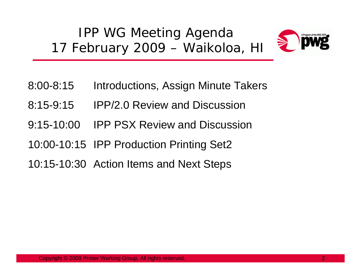IPP WG Meeting Agenda 17 February 2009 – Waikoloa, HI



- 8:00-8:15 Introductions, Assign Minute Takers
- 8:15-9:15 IPP/2.0 Review and Discussion
- 9:15-10:00 IPP PSX Review and Discussion
- 10:00-10:15 IPP Production Printing Set2
- 10:15-10:30 Action Items and Next Steps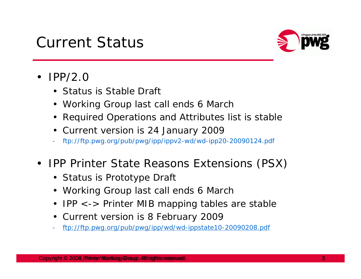## Current Status



- $\bullet$  IPP/2.0
	- Status is Stable Draft
	- Working Group last call ends 6 March
	- Required Operations and Attributes list is stable
	- Current version is 24 January 2009
	- ftp://ftp.pwg.org/pub/pwg/ipp/ippv2-wd/wd-ipp20-20090124.pdf
- $\bullet$  IPP Printer State Reasons Extensions (PSX)
	- Status is Prototype Draft
	- Working Group last call ends 6 March
	- IPP <-> Printer MIB mapping tables are stable
	- Current version is 8 February 2009
	- ftp://ftp.pwg.org/pub/pwg/ipp/wd/wd-ippstate10-20090208.pdf